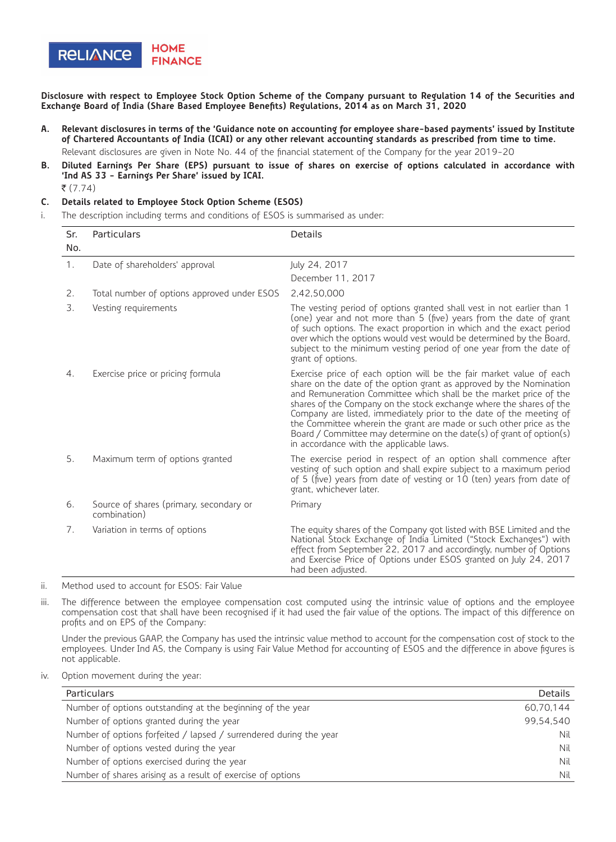

**Disclosure with respect to Employee Stock Option Scheme of the Company pursuant to Regulation 14 of the Securities and Exchange Board of India (Share Based Employee Benefits) Regulations, 2014 as on March 31, 2020**

- **A. Relevant disclosures in terms of the 'Guidance note on accounting for employee share-based payments' issued by Institute of Chartered Accountants of India (ICAI) or any other relevant accounting standards as prescribed from time to time.** Relevant disclosures are given in Note No. 44 of the financial statement of the Company for the year 2019-20
- **B. Diluted Earnings Per Share (EPS) pursuant to issue of shares on exercise of options calculated in accordance with 'Ind AS 33 - Earnings Per Share' issued by ICAI.**
	- $\bar{z}$  (7.74)

## **C. Details related to Employee Stock Option Scheme (ESOS)**

i. The description including terms and conditions of ESOS is summarised as under:

| Sr. | Particulars                                             | <b>Details</b>                                                                                                                                                                                                                                                                                                                                                                                                                                                                                                                                          |
|-----|---------------------------------------------------------|---------------------------------------------------------------------------------------------------------------------------------------------------------------------------------------------------------------------------------------------------------------------------------------------------------------------------------------------------------------------------------------------------------------------------------------------------------------------------------------------------------------------------------------------------------|
| No. |                                                         |                                                                                                                                                                                                                                                                                                                                                                                                                                                                                                                                                         |
| 1.  | Date of shareholders' approval                          | July 24, 2017                                                                                                                                                                                                                                                                                                                                                                                                                                                                                                                                           |
|     |                                                         | December 11, 2017                                                                                                                                                                                                                                                                                                                                                                                                                                                                                                                                       |
| 2.  | Total number of options approved under ESOS             | 2,42,50,000                                                                                                                                                                                                                                                                                                                                                                                                                                                                                                                                             |
| 3.  | Vesting requirements                                    | The vesting period of options granted shall vest in not earlier than 1<br>(one) year and not more than 5 (five) years from the date of grant<br>of such options. The exact proportion in which and the exact period<br>over which the options would vest would be determined by the Board,<br>subject to the minimum vesting period of one year from the date of<br>grant of options.                                                                                                                                                                   |
| 4.  | Exercise price or pricing formula                       | Exercise price of each option will be the fair market value of each<br>share on the date of the option grant as approved by the Nomination<br>and Remuneration Committee which shall be the market price of the<br>shares of the Company on the stock exchange where the shares of the<br>Company are listed, immediately prior to the date of the meeting of<br>the Committee wherein the grant are made or such other price as the<br>Board / Committee may determine on the date(s) of grant of option(s)<br>in accordance with the applicable laws. |
| 5.  | Maximum term of options granted                         | The exercise period in respect of an option shall commence after<br>vesting of such option and shall expire subject to a maximum period<br>of 5 (five) years from date of vesting or 10 (ten) years from date of<br>grant, whichever later.                                                                                                                                                                                                                                                                                                             |
| 6.  | Source of shares (primary, secondary or<br>combination) | Primary                                                                                                                                                                                                                                                                                                                                                                                                                                                                                                                                                 |
| 7.  | Variation in terms of options                           | The equity shares of the Company got listed with BSE Limited and the<br>National Stock Exchange of India Limited ("Stock Exchanges") with<br>effect from September 22, 2017 and accordingly, number of Options<br>and Exercise Price of Options under ESOS granted on July 24, 2017<br>had been adjusted.                                                                                                                                                                                                                                               |

ii. Method used to account for ESOS: Fair Value

iii. The difference between the employee compensation cost computed using the intrinsic value of options and the employee compensation cost that shall have been recognised if it had used the fair value of the options. The impact of this difference on profits and on EPS of the Company:

Under the previous GAAP, the Company has used the intrinsic value method to account for the compensation cost of stock to the employees. Under Ind AS, the Company is using Fair Value Method for accounting of ESOS and the difference in above figures is not applicable.

iv. Option movement during the year:

| Particulars                                                        | Details   |
|--------------------------------------------------------------------|-----------|
| Number of options outstanding at the beginning of the year         | 60.70.144 |
| Number of options granted during the year                          | 99.54.540 |
| Number of options forfeited / lapsed / surrendered during the year | Nil       |
| Number of options vested during the year                           | Nil       |
| Number of options exercised during the year                        | Nil       |
| Number of shares arising as a result of exercise of options        | Nil       |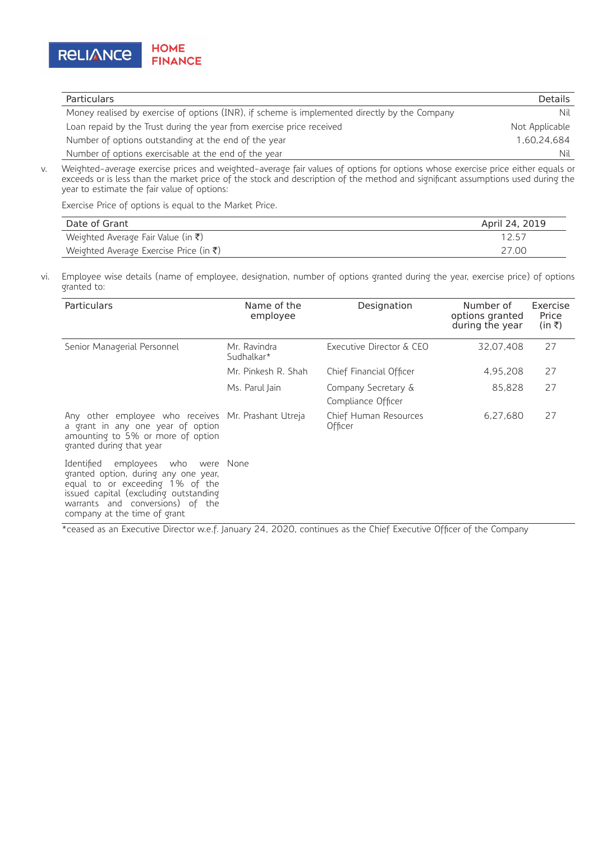

| <b>Particulars</b>                                                                            | <b>Details</b> |
|-----------------------------------------------------------------------------------------------|----------------|
| Money realised by exercise of options (INR), if scheme is implemented directly by the Company | Nil            |
| Loan repaid by the Trust during the year from exercise price received                         | Not Applicable |
| Number of options outstanding at the end of the year                                          | 1.60.24.684    |
| Number of options exercisable at the end of the year                                          | Nil            |

v. Weighted-average exercise prices and weighted-average fair values of options for options whose exercise price either equals or exceeds or is less than the market price of the stock and description of the method and significant assumptions used during the year to estimate the fair value of options:

Exercise Price of options is equal to the Market Price.

| Date of Grant                                      | April 24, 2019 |
|----------------------------------------------------|----------------|
| Weighted Average Fair Value (in $\bar{\tau}$ )     | 12.57          |
| Weighted Average Exercise Price (in $\bar{\tau}$ ) | 27.00          |

vi. Employee wise details (name of employee, designation, number of options granted during the year, exercise price) of options granted to:

| <b>Particulars</b>                                                                                                                                                                                                               | Name of the<br>employee    | Designation                               | Number of<br>options granted<br>during the year | Exercise<br>Price<br>(in ₹) |
|----------------------------------------------------------------------------------------------------------------------------------------------------------------------------------------------------------------------------------|----------------------------|-------------------------------------------|-------------------------------------------------|-----------------------------|
| Senior Managerial Personnel                                                                                                                                                                                                      | Mr. Ravindra<br>Sudhalkar* | Executive Director & CEO                  | 32.07.408                                       | 27                          |
|                                                                                                                                                                                                                                  | Mr. Pinkesh R. Shah        | Chief Financial Officer                   | 4,95,208                                        | 27                          |
|                                                                                                                                                                                                                                  | Ms. Parul Jain             | Company Secretary &<br>Compliance Officer | 85,828                                          | 27                          |
| Any other employee who receives Mr. Prashant Utreja<br>a grant in any one year of option<br>amounting to 5% or more of option<br>granted during that year                                                                        |                            | Chief Human Resources<br>Officer          | 6,27,680                                        | 27                          |
| Identified<br>employees who<br>were None<br>granted option, during any one year,<br>equal to or exceeding 1% of the<br>issued capital (excluding outstanding<br>warrants and conversions) of the<br>company at the time of grant |                            |                                           |                                                 |                             |

\*ceased as an Executive Director w.e.f. January 24, 2020, continues as the Chief Executive Officer of the Company